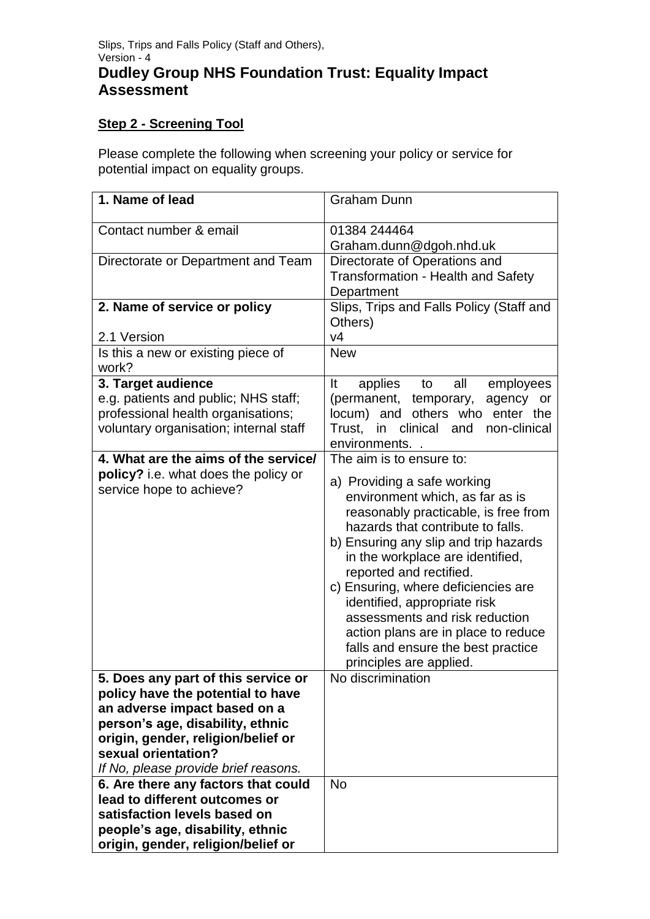## **Step 2 - Screening Tool**

Please complete the following when screening your policy or service for potential impact on equality groups.

| 1. Name of lead                                                                                                                                                                                                                                   | <b>Graham Dunn</b>                                                                                                                                                                                                                                                                                                                                                                                                                                                   |
|---------------------------------------------------------------------------------------------------------------------------------------------------------------------------------------------------------------------------------------------------|----------------------------------------------------------------------------------------------------------------------------------------------------------------------------------------------------------------------------------------------------------------------------------------------------------------------------------------------------------------------------------------------------------------------------------------------------------------------|
| Contact number & email                                                                                                                                                                                                                            | 01384 244464                                                                                                                                                                                                                                                                                                                                                                                                                                                         |
|                                                                                                                                                                                                                                                   | Graham.dunn@dgoh.nhd.uk                                                                                                                                                                                                                                                                                                                                                                                                                                              |
| Directorate or Department and Team                                                                                                                                                                                                                | Directorate of Operations and<br><b>Transformation - Health and Safety</b><br>Department                                                                                                                                                                                                                                                                                                                                                                             |
| 2. Name of service or policy                                                                                                                                                                                                                      | Slips, Trips and Falls Policy (Staff and<br>Others)                                                                                                                                                                                                                                                                                                                                                                                                                  |
| 2.1 Version                                                                                                                                                                                                                                       | V <sub>4</sub>                                                                                                                                                                                                                                                                                                                                                                                                                                                       |
| Is this a new or existing piece of<br>work?                                                                                                                                                                                                       | <b>New</b>                                                                                                                                                                                                                                                                                                                                                                                                                                                           |
| 3. Target audience                                                                                                                                                                                                                                | It<br>applies to<br>all<br>employees                                                                                                                                                                                                                                                                                                                                                                                                                                 |
| e.g. patients and public; NHS staff;<br>professional health organisations;<br>voluntary organisation; internal staff                                                                                                                              | (permanent, temporary,<br>agency or<br>locum) and others who enter the<br>in clinical and<br>Trust.<br>non-clinical<br>environments                                                                                                                                                                                                                                                                                                                                  |
| 4. What are the aims of the service/                                                                                                                                                                                                              | The aim is to ensure to:                                                                                                                                                                                                                                                                                                                                                                                                                                             |
| policy? i.e. what does the policy or<br>service hope to achieve?                                                                                                                                                                                  | a) Providing a safe working<br>environment which, as far as is<br>reasonably practicable, is free from<br>hazards that contribute to falls.<br>b) Ensuring any slip and trip hazards<br>in the workplace are identified,<br>reported and rectified.<br>c) Ensuring, where deficiencies are<br>identified, appropriate risk<br>assessments and risk reduction<br>action plans are in place to reduce<br>falls and ensure the best practice<br>principles are applied. |
| 5. Does any part of this service or<br>policy have the potential to have<br>an adverse impact based on a<br>person's age, disability, ethnic<br>origin, gender, religion/belief or<br>sexual orientation?<br>If No, please provide brief reasons. | No discrimination                                                                                                                                                                                                                                                                                                                                                                                                                                                    |
| 6. Are there any factors that could<br>lead to different outcomes or<br>satisfaction levels based on<br>people's age, disability, ethnic<br>origin, gender, religion/belief or                                                                    | <b>No</b>                                                                                                                                                                                                                                                                                                                                                                                                                                                            |